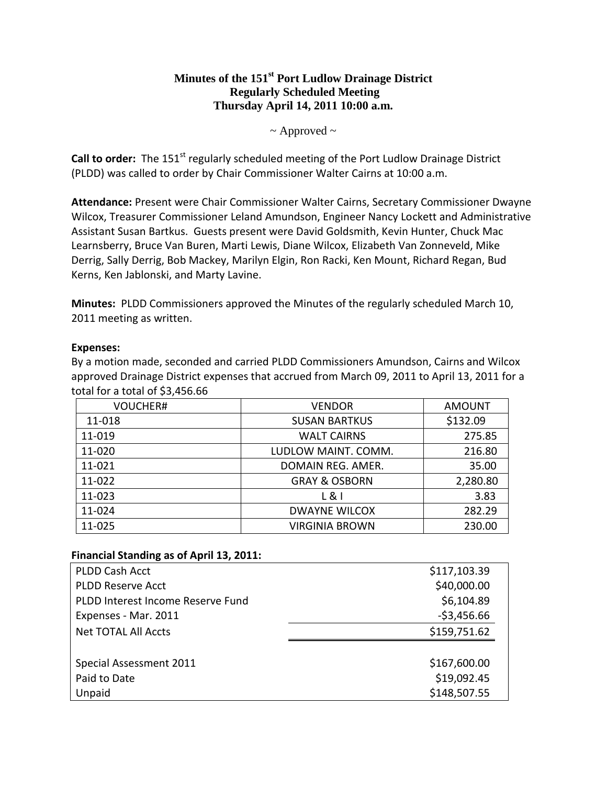# **Minutes of the 151st Port Ludlow Drainage District Regularly Scheduled Meeting Thursday April 14, 2011 10:00 a.m.**

### $\sim$  Approved  $\sim$

**Call to order:** The 151<sup>st</sup> regularly scheduled meeting of the Port Ludlow Drainage District (PLDD) was called to order by Chair Commissioner Walter Cairns at 10:00 a.m.

**Attendance:** Present were Chair Commissioner Walter Cairns, Secretary Commissioner Dwayne Wilcox, Treasurer Commissioner Leland Amundson, Engineer Nancy Lockett and Administrative Assistant Susan Bartkus. Guests present were David Goldsmith, Kevin Hunter, Chuck Mac Learnsberry, Bruce Van Buren, Marti Lewis, Diane Wilcox, Elizabeth Van Zonneveld, Mike Derrig, Sally Derrig, Bob Mackey, Marilyn Elgin, Ron Racki, Ken Mount, Richard Regan, Bud Kerns, Ken Jablonski, and Marty Lavine.

**Minutes:** PLDD Commissioners approved the Minutes of the regularly scheduled March 10, 2011 meeting as written.

#### **Expenses:**

By a motion made, seconded and carried PLDD Commissioners Amundson, Cairns and Wilcox approved Drainage District expenses that accrued from March 09, 2011 to April 13, 2011 for a total for a total of \$3,456.66

| <b>VOUCHER#</b> | <b>VENDOR</b>            | <b>AMOUNT</b> |
|-----------------|--------------------------|---------------|
| 11-018          | <b>SUSAN BARTKUS</b>     | \$132.09      |
| 11-019          | <b>WALT CAIRNS</b>       | 275.85        |
| 11-020          | LUDLOW MAINT. COMM.      | 216.80        |
| 11-021          | DOMAIN REG. AMER.        | 35.00         |
| 11-022          | <b>GRAY &amp; OSBORN</b> | 2,280.80      |
| 11-023          | L81                      | 3.83          |
| 11-024          | <b>DWAYNE WILCOX</b>     | 282.29        |
| 11-025          | <b>VIRGINIA BROWN</b>    | 230.00        |

### **Financial Standing as of April 13, 2011:**

| PLDD Cash Acct                    | \$117,103.39 |
|-----------------------------------|--------------|
| <b>PLDD Reserve Acct</b>          | \$40,000.00  |
| PLDD Interest Income Reserve Fund | \$6,104.89   |
| Expenses - Mar. 2011              | $-53,456.66$ |
| <b>Net TOTAL All Accts</b>        | \$159,751.62 |
|                                   |              |
| Special Assessment 2011           | \$167,600.00 |
| Paid to Date                      | \$19,092.45  |
| Unpaid                            | \$148,507.55 |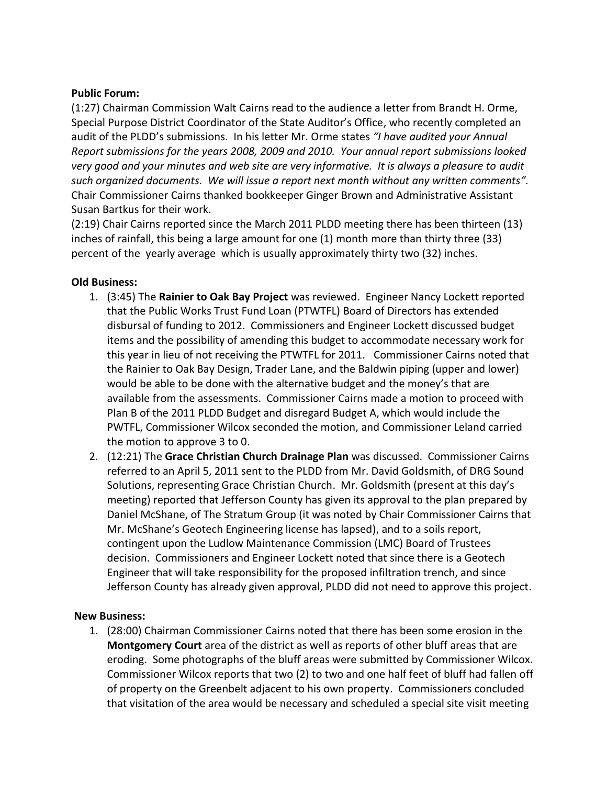### **Public Forum:**

(1:27) Chairman Commission Walt Cairns read to the audience a letter from Brandt H. Orme, Special Purpose District Coordinator of the State Auditor's Office, who recently completed an audit of the PLDD's submissions. In his letter Mr. Orme states *"I have audited your Annual Report submissions for the years 2008, 2009 and 2010. Your annual report submissions looked very good and your minutes and web site are very informative. It is always a pleasure to audit such organized documents. We will issue a report next month without any written comments".* Chair Commissioner Cairns thanked bookkeeper Ginger Brown and Administrative Assistant Susan Bartkus for their work.

(2:19) Chair Cairns reported since the March 2011 PLDD meeting there has been thirteen (13) inches of rainfall, this being a large amount for one (1) month more than thirty three (33) percent of the yearly average which is usually approximately thirty two (32) inches.

### **Old Business:**

- 1. (3:45) The **Rainier to Oak Bay Project** was reviewed. Engineer Nancy Lockett reported that the Public Works Trust Fund Loan (PTWTFL) Board of Directors has extended disbursal of funding to 2012. Commissioners and Engineer Lockett discussed budget items and the possibility of amending this budget to accommodate necessary work for this year in lieu of not receiving the PTWTFL for 2011. Commissioner Cairns noted that the Rainier to Oak Bay Design, Trader Lane, and the Baldwin piping (upper and lower) would be able to be done with the alternative budget and the money's that are available from the assessments. Commissioner Cairns made a motion to proceed with Plan B of the 2011 PLDD Budget and disregard Budget A, which would include the PWTFL, Commissioner Wilcox seconded the motion, and Commissioner Leland carried the motion to approve 3 to 0.
- 2. (12:21) The **Grace Christian Church Drainage Plan** was discussed. Commissioner Cairns referred to an April 5, 2011 sent to the PLDD from Mr. David Goldsmith, of DRG Sound Solutions, representing Grace Christian Church. Mr. Goldsmith (present at this day's meeting) reported that Jefferson County has given its approval to the plan prepared by Daniel McShane, of The Stratum Group (it was noted by Chair Commissioner Cairns that Mr. McShane's Geotech Engineering license has lapsed), and to a soils report, contingent upon the Ludlow Maintenance Commission (LMC) Board of Trustees decision. Commissioners and Engineer Lockett noted that since there is a Geotech Engineer that will take responsibility for the proposed infiltration trench, and since Jefferson County has already given approval, PLDD did not need to approve this project.

# **New Business:**

1. (28:00) Chairman Commissioner Cairns noted that there has been some erosion in the **Montgomery Court** area of the district as well as reports of other bluff areas that are eroding. Some photographs of the bluff areas were submitted by Commissioner Wilcox. Commissioner Wilcox reports that two (2) to two and one half feet of bluff had fallen off of property on the Greenbelt adjacent to his own property. Commissioners concluded that visitation of the area would be necessary and scheduled a special site visit meeting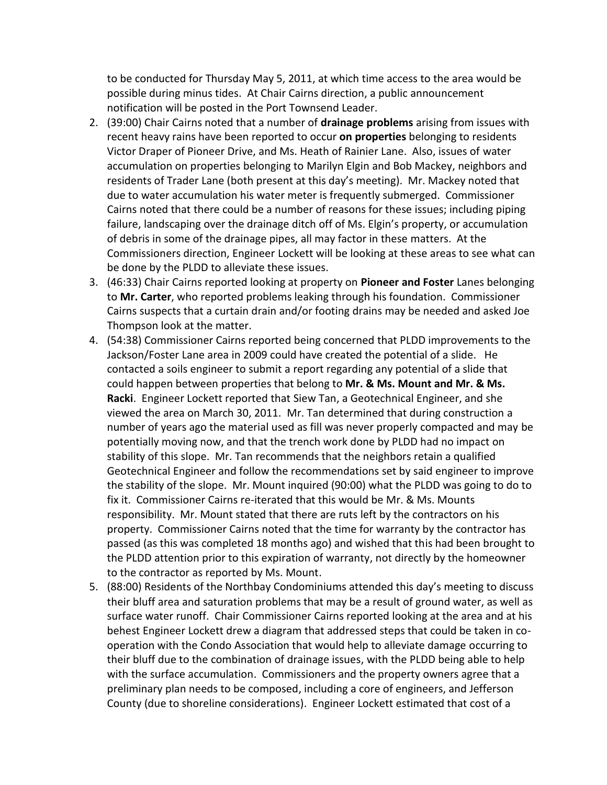to be conducted for Thursday May 5, 2011, at which time access to the area would be possible during minus tides. At Chair Cairns direction, a public announcement notification will be posted in the Port Townsend Leader.

- 2. (39:00) Chair Cairns noted that a number of **drainage problems** arising from issues with recent heavy rains have been reported to occur **on properties** belonging to residents Victor Draper of Pioneer Drive, and Ms. Heath of Rainier Lane. Also, issues of water accumulation on properties belonging to Marilyn Elgin and Bob Mackey, neighbors and residents of Trader Lane (both present at this day's meeting). Mr. Mackey noted that due to water accumulation his water meter is frequently submerged. Commissioner Cairns noted that there could be a number of reasons for these issues; including piping failure, landscaping over the drainage ditch off of Ms. Elgin's property, or accumulation of debris in some of the drainage pipes, all may factor in these matters. At the Commissioners direction, Engineer Lockett will be looking at these areas to see what can be done by the PLDD to alleviate these issues.
- 3. (46:33) Chair Cairns reported looking at property on **Pioneer and Foster** Lanes belonging to **Mr. Carter**, who reported problems leaking through his foundation. Commissioner Cairns suspects that a curtain drain and/or footing drains may be needed and asked Joe Thompson look at the matter.
- 4. (54:38) Commissioner Cairns reported being concerned that PLDD improvements to the Jackson/Foster Lane area in 2009 could have created the potential of a slide. He contacted a soils engineer to submit a report regarding any potential of a slide that could happen between properties that belong to **Mr. & Ms. Mount and Mr. & Ms. Racki**. Engineer Lockett reported that Siew Tan, a Geotechnical Engineer, and she viewed the area on March 30, 2011. Mr. Tan determined that during construction a number of years ago the material used as fill was never properly compacted and may be potentially moving now, and that the trench work done by PLDD had no impact on stability of this slope. Mr. Tan recommends that the neighbors retain a qualified Geotechnical Engineer and follow the recommendations set by said engineer to improve the stability of the slope. Mr. Mount inquired (90:00) what the PLDD was going to do to fix it. Commissioner Cairns re-iterated that this would be Mr. & Ms. Mounts responsibility. Mr. Mount stated that there are ruts left by the contractors on his property. Commissioner Cairns noted that the time for warranty by the contractor has passed (as this was completed 18 months ago) and wished that this had been brought to the PLDD attention prior to this expiration of warranty, not directly by the homeowner to the contractor as reported by Ms. Mount.
- 5. (88:00) Residents of the Northbay Condominiums attended this day's meeting to discuss their bluff area and saturation problems that may be a result of ground water, as well as surface water runoff. Chair Commissioner Cairns reported looking at the area and at his behest Engineer Lockett drew a diagram that addressed steps that could be taken in cooperation with the Condo Association that would help to alleviate damage occurring to their bluff due to the combination of drainage issues, with the PLDD being able to help with the surface accumulation. Commissioners and the property owners agree that a preliminary plan needs to be composed, including a core of engineers, and Jefferson County (due to shoreline considerations). Engineer Lockett estimated that cost of a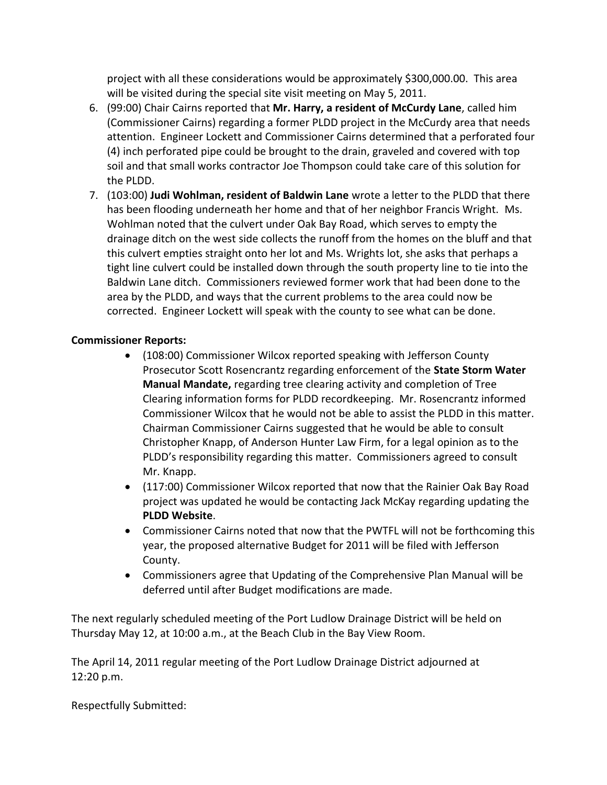project with all these considerations would be approximately \$300,000.00. This area will be visited during the special site visit meeting on May 5, 2011.

- 6. (99:00) Chair Cairns reported that **Mr. Harry, a resident of McCurdy Lane**, called him (Commissioner Cairns) regarding a former PLDD project in the McCurdy area that needs attention. Engineer Lockett and Commissioner Cairns determined that a perforated four (4) inch perforated pipe could be brought to the drain, graveled and covered with top soil and that small works contractor Joe Thompson could take care of this solution for the PLDD.
- 7. (103:00) **Judi Wohlman, resident of Baldwin Lane** wrote a letter to the PLDD that there has been flooding underneath her home and that of her neighbor Francis Wright. Ms. Wohlman noted that the culvert under Oak Bay Road, which serves to empty the drainage ditch on the west side collects the runoff from the homes on the bluff and that this culvert empties straight onto her lot and Ms. Wrights lot, she asks that perhaps a tight line culvert could be installed down through the south property line to tie into the Baldwin Lane ditch. Commissioners reviewed former work that had been done to the area by the PLDD, and ways that the current problems to the area could now be corrected. Engineer Lockett will speak with the county to see what can be done.

# **Commissioner Reports:**

- (108:00) Commissioner Wilcox reported speaking with Jefferson County Prosecutor Scott Rosencrantz regarding enforcement of the **State Storm Water Manual Mandate,** regarding tree clearing activity and completion of Tree Clearing information forms for PLDD recordkeeping. Mr. Rosencrantz informed Commissioner Wilcox that he would not be able to assist the PLDD in this matter. Chairman Commissioner Cairns suggested that he would be able to consult Christopher Knapp, of Anderson Hunter Law Firm, for a legal opinion as to the PLDD's responsibility regarding this matter. Commissioners agreed to consult Mr. Knapp.
- (117:00) Commissioner Wilcox reported that now that the Rainier Oak Bay Road project was updated he would be contacting Jack McKay regarding updating the **PLDD Website**.
- Commissioner Cairns noted that now that the PWTFL will not be forthcoming this year, the proposed alternative Budget for 2011 will be filed with Jefferson County.
- Commissioners agree that Updating of the Comprehensive Plan Manual will be deferred until after Budget modifications are made.

The next regularly scheduled meeting of the Port Ludlow Drainage District will be held on Thursday May 12, at 10:00 a.m., at the Beach Club in the Bay View Room.

The April 14, 2011 regular meeting of the Port Ludlow Drainage District adjourned at 12:20 p.m.

Respectfully Submitted: